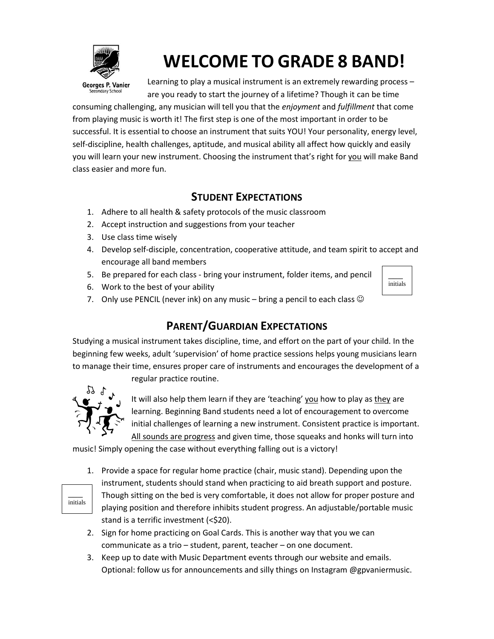

# **WELCOME TO GRADE 8 BAND!**

Georges P. Vanier ndary Schoo

Learning to play a musical instrument is an extremely rewarding process – are you ready to start the journey of a lifetime? Though it can be time

consuming challenging, any musician will tell you that the *enjoyment* and *fulfillment* that come from playing music is worth it! The first step is one of the most important in order to be successful. It is essential to choose an instrument that suits YOU! Your personality, energy level, self-discipline, health challenges, aptitude, and musical ability all affect how quickly and easily you will learn your new instrument. Choosing the instrument that's right for you will make Band class easier and more fun.

### **STUDENT EXPECTATIONS**

- 1. Adhere to all health & safety protocols of the music classroom
- 2. Accept instruction and suggestions from your teacher
- 3. Use class time wisely
- 4. Develop self-disciple, concentration, cooperative attitude, and team spirit to accept and encourage all band members

 $\overline{\phantom{a}}$ initials

- 5. Be prepared for each class bring your instrument, folder items, and pencil
- 6. Work to the best of your ability

7. Only use PENCIL (never ink) on any music – bring a pencil to each class  $\odot$ 

### **PARENT/GUARDIAN EXPECTATIONS**

Studying a musical instrument takes discipline, time, and effort on the part of your child. In the beginning few weeks, adult 'supervision' of home practice sessions helps young musicians learn to manage their time, ensures proper care of instruments and encourages the development of a regular practice routine.



It will also help them learn if they are 'teaching' you how to play as they are learning. Beginning Band students need a lot of encouragement to overcome initial challenges of learning a new instrument. Consistent practice is important. All sounds are progress and given time, those squeaks and honks will turn into

music! Simply opening the case without everything falling out is a victory!



- 1. Provide a space for regular home practice (chair, music stand). Depending upon the instrument, students should stand when practicing to aid breath support and posture. Though sitting on the bed is very comfortable, it does not allow for proper posture and playing position and therefore inhibits student progress. An adjustable/portable music stand is a terrific investment (<\$20).
- 2. Sign for home practicing on Goal Cards. This is another way that you we can communicate as a trio – student, parent, teacher – on one document.
- 3. Keep up to date with Music Department events through our website and emails. Optional: follow us for announcements and silly things on Instagram @gpvaniermusic.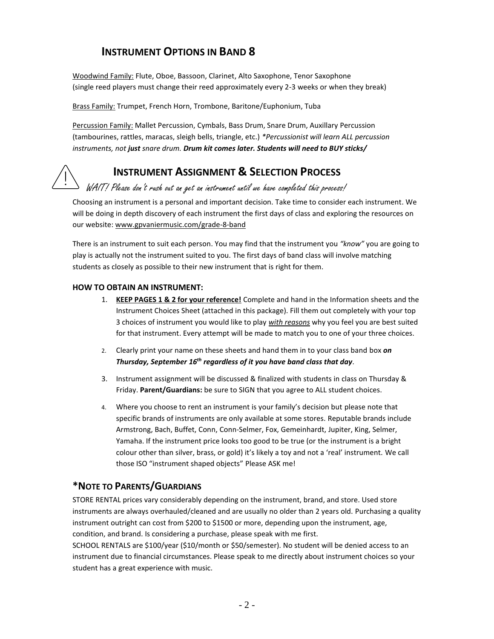#### **INSTRUMENT OPTIONS IN BAND 8**

Woodwind Family: Flute, Oboe, Bassoon, Clarinet, Alto Saxophone, Tenor Saxophone (single reed players must change their reed approximately every 2-3 weeks or when they break)

Brass Family: Trumpet, French Horn, Trombone, Baritone/Euphonium, Tuba

Percussion Family: Mallet Percussion, Cymbals, Bass Drum, Snare Drum, Auxillary Percussion (tambourines, rattles, maracas, sleigh bells, triangle, etc.) *\*Percussionist will learn ALL percussion instruments, not just snare drum. Drum kit comes later. Students will need to BUY sticks/*

#### **INSTRUMENT ASSIGNMENT & SELECTION PROCESS**

#### WAIT! Please don't rush out an get an instrument until we have completed this process!

Choosing an instrument is a personal and important decision. Take time to consider each instrument. We will be doing in depth discovery of each instrument the first days of class and exploring the resources on our website: www.gpvaniermusic.com/grade-8-band

There is an instrument to suit each person. You may find that the instrument you *"know"* you are going to play is actually not the instrument suited to you. The first days of band class will involve matching students as closely as possible to their new instrument that is right for them.

#### **HOW TO OBTAIN AN INSTRUMENT:**

- 1. **KEEP PAGES 1 & 2 for your reference!** Complete and hand in the Information sheets and the Instrument Choices Sheet (attached in this package). Fill them out completely with your top 3 choices of instrument you would like to play *with reasons* why you feel you are best suited for that instrument. Every attempt will be made to match you to one of your three choices.
- 2. Clearly print your name on these sheets and hand them in to your class band box *on Thursday, September 16 th regardless of it you have band class that day*.
- 3. Instrument assignment will be discussed & finalized with students in class on Thursday & Friday. **Parent/Guardians:** be sure to SIGN that you agree to ALL student choices.
- 4. Where you choose to rent an instrument is your family's decision but please note that specific brands of instruments are only available at some stores. Reputable brands include Armstrong, Bach, Buffet, Conn, Conn-Selmer, Fox, Gemeinhardt, Jupiter, King, Selmer, Yamaha. If the instrument price looks too good to be true (or the instrument is a bright colour other than silver, brass, or gold) it's likely a toy and not a 'real' instrument. We call those ISO "instrument shaped objects" Please ASK me!

#### **\*NOTE TO PARENTS/GUARDIANS**

STORE RENTAL prices vary considerably depending on the instrument, brand, and store. Used store instruments are always overhauled/cleaned and are usually no older than 2 years old. Purchasing a quality instrument outright can cost from \$200 to \$1500 or more, depending upon the instrument, age, condition, and brand. Is considering a purchase, please speak with me first.

SCHOOL RENTALS are \$100/year (\$10/month or \$50/semester). No student will be denied access to an instrument due to financial circumstances. Please speak to me directly about instrument choices so your student has a great experience with music.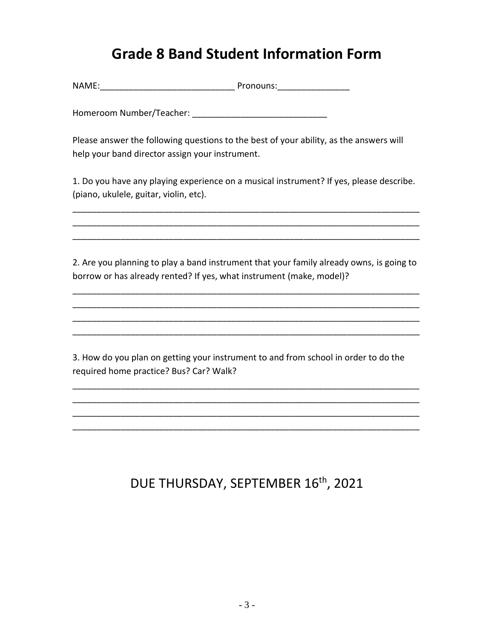### **Grade 8 Band Student Information Form**

NAME:\_\_\_\_\_\_\_\_\_\_\_\_\_\_\_\_\_\_\_\_\_\_\_\_\_\_\_\_ Pronouns:\_\_\_\_\_\_\_\_\_\_\_\_\_\_\_

Homeroom Number/Teacher: \_\_\_\_\_\_\_\_\_\_\_\_\_\_\_\_\_\_\_\_\_\_\_\_\_\_\_\_

Please answer the following questions to the best of your ability, as the answers will help your band director assign your instrument.

1. Do you have any playing experience on a musical instrument? If yes, please describe. (piano, ukulele, guitar, violin, etc).

\_\_\_\_\_\_\_\_\_\_\_\_\_\_\_\_\_\_\_\_\_\_\_\_\_\_\_\_\_\_\_\_\_\_\_\_\_\_\_\_\_\_\_\_\_\_\_\_\_\_\_\_\_\_\_\_\_\_\_\_\_\_\_\_\_\_\_\_\_\_\_\_ \_\_\_\_\_\_\_\_\_\_\_\_\_\_\_\_\_\_\_\_\_\_\_\_\_\_\_\_\_\_\_\_\_\_\_\_\_\_\_\_\_\_\_\_\_\_\_\_\_\_\_\_\_\_\_\_\_\_\_\_\_\_\_\_\_\_\_\_\_\_\_\_ \_\_\_\_\_\_\_\_\_\_\_\_\_\_\_\_\_\_\_\_\_\_\_\_\_\_\_\_\_\_\_\_\_\_\_\_\_\_\_\_\_\_\_\_\_\_\_\_\_\_\_\_\_\_\_\_\_\_\_\_\_\_\_\_\_\_\_\_\_\_\_\_

2. Are you planning to play a band instrument that your family already owns, is going to borrow or has already rented? If yes, what instrument (make, model)?

\_\_\_\_\_\_\_\_\_\_\_\_\_\_\_\_\_\_\_\_\_\_\_\_\_\_\_\_\_\_\_\_\_\_\_\_\_\_\_\_\_\_\_\_\_\_\_\_\_\_\_\_\_\_\_\_\_\_\_\_\_\_\_\_\_\_\_\_\_\_\_\_ \_\_\_\_\_\_\_\_\_\_\_\_\_\_\_\_\_\_\_\_\_\_\_\_\_\_\_\_\_\_\_\_\_\_\_\_\_\_\_\_\_\_\_\_\_\_\_\_\_\_\_\_\_\_\_\_\_\_\_\_\_\_\_\_\_\_\_\_\_\_\_\_ \_\_\_\_\_\_\_\_\_\_\_\_\_\_\_\_\_\_\_\_\_\_\_\_\_\_\_\_\_\_\_\_\_\_\_\_\_\_\_\_\_\_\_\_\_\_\_\_\_\_\_\_\_\_\_\_\_\_\_\_\_\_\_\_\_\_\_\_\_\_\_\_ \_\_\_\_\_\_\_\_\_\_\_\_\_\_\_\_\_\_\_\_\_\_\_\_\_\_\_\_\_\_\_\_\_\_\_\_\_\_\_\_\_\_\_\_\_\_\_\_\_\_\_\_\_\_\_\_\_\_\_\_\_\_\_\_\_\_\_\_\_\_\_\_

3. How do you plan on getting your instrument to and from school in order to do the required home practice? Bus? Car? Walk?

\_\_\_\_\_\_\_\_\_\_\_\_\_\_\_\_\_\_\_\_\_\_\_\_\_\_\_\_\_\_\_\_\_\_\_\_\_\_\_\_\_\_\_\_\_\_\_\_\_\_\_\_\_\_\_\_\_\_\_\_\_\_\_\_\_\_\_\_\_\_\_\_ \_\_\_\_\_\_\_\_\_\_\_\_\_\_\_\_\_\_\_\_\_\_\_\_\_\_\_\_\_\_\_\_\_\_\_\_\_\_\_\_\_\_\_\_\_\_\_\_\_\_\_\_\_\_\_\_\_\_\_\_\_\_\_\_\_\_\_\_\_\_\_\_ \_\_\_\_\_\_\_\_\_\_\_\_\_\_\_\_\_\_\_\_\_\_\_\_\_\_\_\_\_\_\_\_\_\_\_\_\_\_\_\_\_\_\_\_\_\_\_\_\_\_\_\_\_\_\_\_\_\_\_\_\_\_\_\_\_\_\_\_\_\_\_\_ \_\_\_\_\_\_\_\_\_\_\_\_\_\_\_\_\_\_\_\_\_\_\_\_\_\_\_\_\_\_\_\_\_\_\_\_\_\_\_\_\_\_\_\_\_\_\_\_\_\_\_\_\_\_\_\_\_\_\_\_\_\_\_\_\_\_\_\_\_\_\_\_

## DUE THURSDAY, SEPTEMBER 16<sup>th</sup>, 2021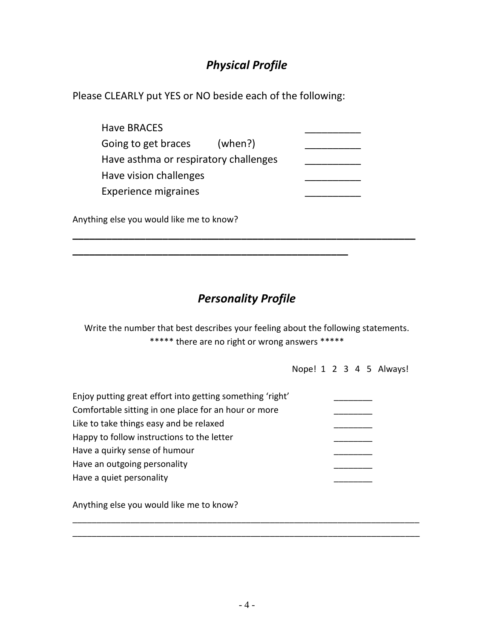### *Physical Profile*

Please CLEARLY put YES or NO beside each of the following:

**\_\_\_\_\_\_\_\_\_\_\_\_\_\_\_\_\_\_\_\_\_\_\_\_\_\_\_\_\_\_\_\_\_\_\_\_\_\_\_\_\_\_\_\_\_\_\_\_\_**

| Have BRACES                           |         |  |
|---------------------------------------|---------|--|
| Going to get braces                   | (when?) |  |
| Have asthma or respiratory challenges |         |  |
| Have vision challenges                |         |  |
| <b>Experience migraines</b>           |         |  |
|                                       |         |  |

Anything else you would like me to know?

### *Personality Profile*

**\_\_\_\_\_\_\_\_\_\_\_\_\_\_\_\_\_\_\_\_\_\_\_\_\_\_\_\_\_\_\_\_\_\_\_\_\_\_\_\_\_\_\_\_\_\_\_\_\_\_\_\_\_\_\_\_\_\_\_\_\_**

Write the number that best describes your feeling about the following statements. \*\*\*\*\* there are no right or wrong answers \*\*\*\*\*

Nope! 1 2 3 4 5 Always!

| Enjoy putting great effort into getting something 'right' |  |
|-----------------------------------------------------------|--|
| Comfortable sitting in one place for an hour or more      |  |
| Like to take things easy and be relaxed                   |  |
| Happy to follow instructions to the letter                |  |
| Have a quirky sense of humour                             |  |
| Have an outgoing personality                              |  |
| Have a quiet personality                                  |  |
|                                                           |  |
| Anything else you would like me to know?                  |  |

\_\_\_\_\_\_\_\_\_\_\_\_\_\_\_\_\_\_\_\_\_\_\_\_\_\_\_\_\_\_\_\_\_\_\_\_\_\_\_\_\_\_\_\_\_\_\_\_\_\_\_\_\_\_\_\_\_\_\_\_\_\_\_\_\_\_\_\_\_\_\_\_ \_\_\_\_\_\_\_\_\_\_\_\_\_\_\_\_\_\_\_\_\_\_\_\_\_\_\_\_\_\_\_\_\_\_\_\_\_\_\_\_\_\_\_\_\_\_\_\_\_\_\_\_\_\_\_\_\_\_\_\_\_\_\_\_\_\_\_\_\_\_\_\_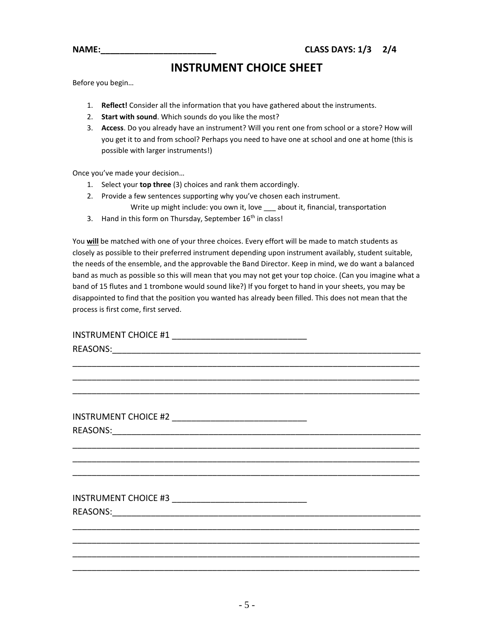**INSTRUMENT CHOICE SHEET**

Before you begin…

- 1. **Reflect!** Consider all the information that you have gathered about the instruments.
- 2. **Start with sound**. Which sounds do you like the most?
- 3. **Access**. Do you already have an instrument? Will you rent one from school or a store? How will you get it to and from school? Perhaps you need to have one at school and one at home (this is possible with larger instruments!)

Once you've made your decision…

- 1. Select your **top three** (3) choices and rank them accordingly.
- 2. Provide a few sentences supporting why you've chosen each instrument.
	- Write up might include: you own it, love \_\_\_ about it, financial, transportation
- 3. Hand in this form on Thursday, September 16<sup>th</sup> in class!

You **will** be matched with one of your three choices. Every effort will be made to match students as closely as possible to their preferred instrument depending upon instrument availably, student suitable, the needs of the ensemble, and the approvable the Band Director. Keep in mind, we do want a balanced band as much as possible so this will mean that you may not get your top choice. (Can you imagine what a band of 15 flutes and 1 trombone would sound like?) If you forget to hand in your sheets, you may be disappointed to find that the position you wanted has already been filled. This does not mean that the process is first come, first served.